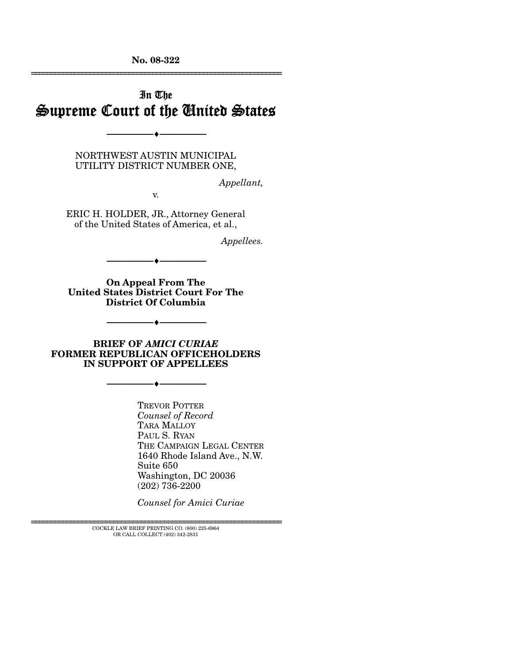**No. 08-322**  ================================================================

## In The Supreme Court of the United States

NORTHWEST AUSTIN MUNICIPAL UTILITY DISTRICT NUMBER ONE,

--------------------------------- ♦ ---------------------------------

*Appellant,* 

v.

ERIC H. HOLDER, JR., Attorney General of the United States of America, et al.,

*Appellees.* 

--------------------------------- ♦ ---------------------------------

**On Appeal From The United States District Court For The District Of Columbia** 

--------------------------------- ♦ ---------------------------------

**BRIEF OF** *AMICI CURIAE* **FORMER REPUBLICAN OFFICEHOLDERS IN SUPPORT OF APPELLEES** 

--------------------------------- ♦ ---------------------------------

TREVOR POTTER *Counsel of Record*  TARA MALLOY PAUL S. RYAN THE CAMPAIGN LEGAL CENTER 1640 Rhode Island Ave., N.W. Suite 650 Washington, DC 20036 (202) 736-2200

*Counsel for Amici Curiae* 

 ${\rm COCKLE}$  LAW BRIEF PRINTING CO. (800) 225-6964 OR CALL COLLECT (402) 342-2831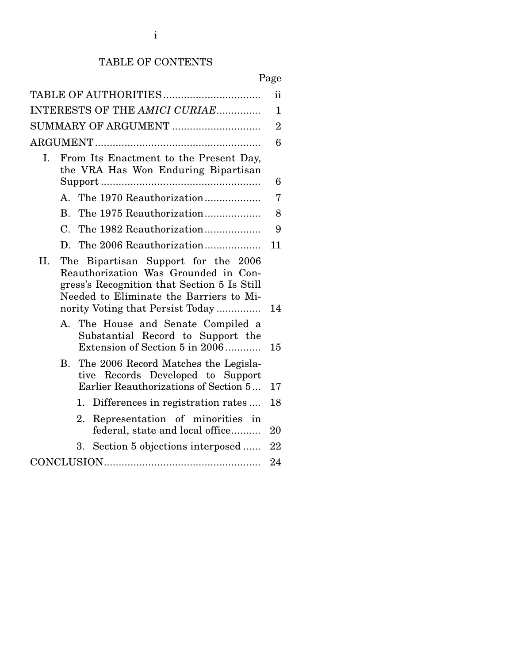## TABLE OF CONTENTS

| TABLE OF AUTHORITIES                                                                                                                                                                                             | ii             |
|------------------------------------------------------------------------------------------------------------------------------------------------------------------------------------------------------------------|----------------|
| INTERESTS OF THE AMICI CURIAE                                                                                                                                                                                    | $\mathbf{1}$   |
| SUMMARY OF ARGUMENT                                                                                                                                                                                              | $\overline{2}$ |
|                                                                                                                                                                                                                  | 6              |
| From Its Enactment to the Present Day,<br>Ι.<br>the VRA Has Won Enduring Bipartisan                                                                                                                              | 6              |
| A. The 1970 Reauthorization                                                                                                                                                                                      | 7              |
| The 1975 Reauthorization<br>B.                                                                                                                                                                                   | 8              |
| $\mathcal{C}_{\cdot}$<br>The 1982 Reauthorization                                                                                                                                                                | 9              |
|                                                                                                                                                                                                                  | 11             |
| II.<br>The Bipartisan Support for the 2006<br>Reauthorization Was Grounded in Con-<br>gress's Recognition that Section 5 Is Still<br>Needed to Eliminate the Barriers to Mi-<br>nority Voting that Persist Today | 14             |
| A.<br>The House and Senate Compiled a<br>Substantial Record to Support the<br>Extension of Section 5 in 2006                                                                                                     | 15             |
| The 2006 Record Matches the Legisla-<br>B.<br>tive Records Developed to Support<br>Earlier Reauthorizations of Section 5                                                                                         | 17             |
| Differences in registration rates<br>1.                                                                                                                                                                          | 18             |
| Representation of minorities in<br>2.<br>federal, state and local office                                                                                                                                         | 20             |
| Section 5 objections interposed<br>3.                                                                                                                                                                            | 22             |
|                                                                                                                                                                                                                  | 24             |
|                                                                                                                                                                                                                  |                |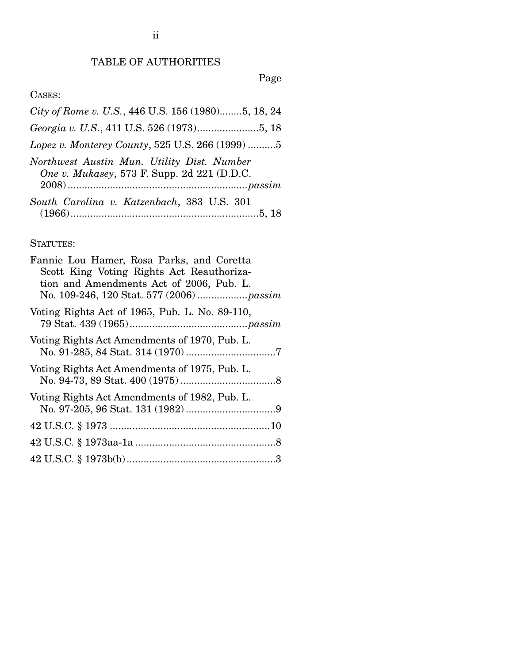Page

# CASES:

| City of Rome v. U.S., 446 U.S. 156 (1980)5, 18, 24                                        |  |
|-------------------------------------------------------------------------------------------|--|
|                                                                                           |  |
| Lopez v. Monterey County, 525 U.S. 266 (1999) 5                                           |  |
| Northwest Austin Mun. Utility Dist. Number<br>One v. Mukasey, 573 F. Supp. 2d 221 (D.D.C. |  |
| South Carolina v. Katzenbach, 383 U.S. 301                                                |  |
|                                                                                           |  |

## STATUTES: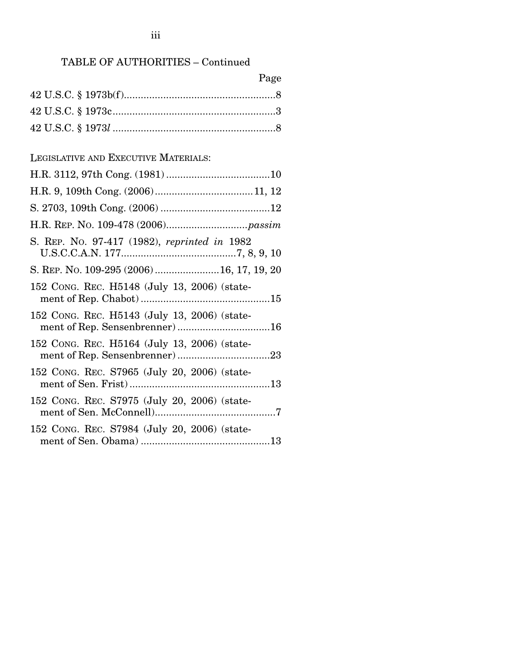## TABLE OF AUTHORITIES – Continued

| Page                                                                           |
|--------------------------------------------------------------------------------|
|                                                                                |
|                                                                                |
|                                                                                |
|                                                                                |
| LEGISLATIVE AND EXECUTIVE MATERIALS:                                           |
|                                                                                |
|                                                                                |
|                                                                                |
|                                                                                |
| S. REP. No. 97-417 (1982), reprinted in 1982                                   |
| S. REP. No. 109-295 (2006) 16, 17, 19, 20                                      |
| 152 CONG. REC. H5148 (July 13, 2006) (state-                                   |
| 152 CONG. REC. H5143 (July 13, 2006) (state-<br>ment of Rep. Sensenbrenner) 16 |
| 152 CONG. REC. H5164 (July 13, 2006) (state-                                   |
| 152 CONG. REC. S7965 (July 20, 2006) (state-                                   |
| 152 CONG. REC. S7975 (July 20, 2006) (state-                                   |
| 152 CONG. REC. S7984 (July 20, 2006) (state-                                   |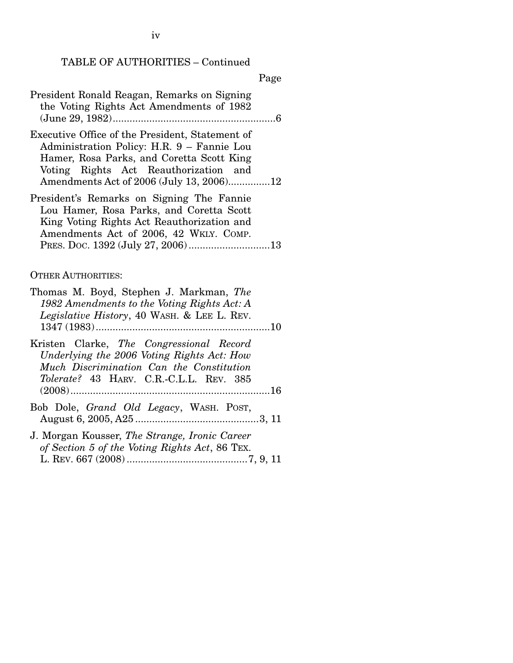TABLE OF AUTHORITIES – Continued

#### Page

| President Ronald Reagan, Remarks on Signing |  |
|---------------------------------------------|--|
| the Voting Rights Act Amendments of 1982    |  |
|                                             |  |
|                                             |  |

- Executive Office of the President, Statement of Administration Policy: H.R. 9 – Fannie Lou Hamer, Rosa Parks, and Coretta Scott King Voting Rights Act Reauthorization and Amendments Act of 2006 (July 13, 2006)...............12
- President's Remarks on Signing The Fannie Lou Hamer, Rosa Parks, and Coretta Scott King Voting Rights Act Reauthorization and Amendments Act of 2006, 42 WKLY. COMP. PRES. DOC. 1392 (July 27, 2006).............................13

#### OTHER AUTHORITIES:

| Thomas M. Boyd, Stephen J. Markman, The<br>1982 Amendments to the Voting Rights Act: A<br>Legislative History, 40 WASH. & LEE L. REV.                                         |  |
|-------------------------------------------------------------------------------------------------------------------------------------------------------------------------------|--|
|                                                                                                                                                                               |  |
| Kristen Clarke, The Congressional Record<br>Underlying the 2006 Voting Rights Act: How<br>Much Discrimination Can the Constitution<br>Tolerate? 43 HARV. C.R.-C.L.L. REV. 385 |  |
| Bob Dole, <i>Grand Old Legacy</i> , WASH. POST,                                                                                                                               |  |
| J. Morgan Kousser, The Strange, Ironic Career<br>of Section 5 of the Voting Rights Act, 86 TEX.                                                                               |  |

L. REV. 667 (2008) ...........................................7, 9, 11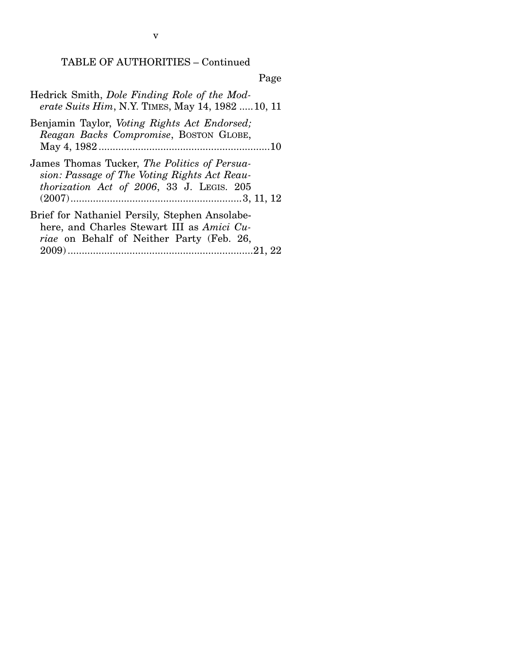# TABLE OF AUTHORITIES – Continued

# Page

| Hedrick Smith, Dole Finding Role of the Mod-<br>erate Suits Him, N.Y. TIMES, May 14, 1982  10, 11                                                |
|--------------------------------------------------------------------------------------------------------------------------------------------------|
| Benjamin Taylor, <i>Voting Rights Act Endorsed</i> ;<br>Reagan Backs Compromise, BOSTON GLOBE,                                                   |
| James Thomas Tucker, The Politics of Persua-<br>sion: Passage of The Voting Rights Act Reau-<br>thorization Act of 2006, 33 J. LEGIS. 205        |
| Brief for Nathaniel Persily, Stephen Ansolabe-<br>here, and Charles Stewart III as Amici Cu-<br><i>riae</i> on Behalf of Neither Party (Feb. 26, |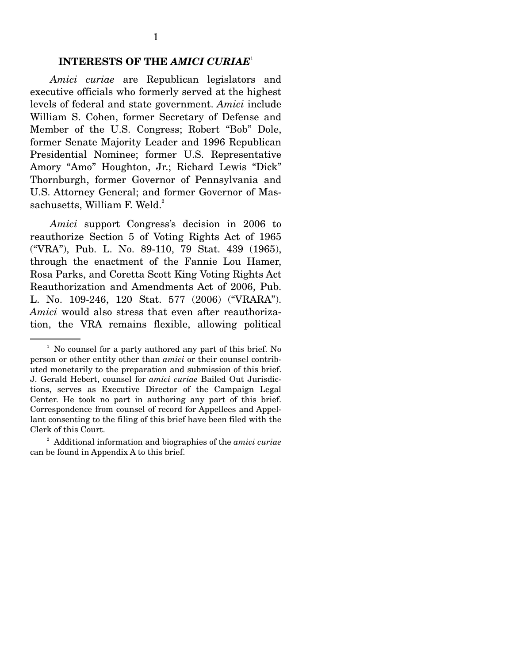## **INTERESTS OF THE** *AMICI CURIAE*<sup>1</sup>

 *Amici curiae* are Republican legislators and executive officials who formerly served at the highest levels of federal and state government. *Amici* include William S. Cohen, former Secretary of Defense and Member of the U.S. Congress; Robert "Bob" Dole, former Senate Majority Leader and 1996 Republican Presidential Nominee; former U.S. Representative Amory "Amo" Houghton, Jr.; Richard Lewis "Dick" Thornburgh, former Governor of Pennsylvania and U.S. Attorney General; and former Governor of Massachusetts, William F. Weld. $^{2}$ 

 *Amici* support Congress's decision in 2006 to reauthorize Section 5 of Voting Rights Act of 1965 ("VRA"), Pub. L. No. 89-110, 79 Stat. 439 (1965), through the enactment of the Fannie Lou Hamer, Rosa Parks, and Coretta Scott King Voting Rights Act Reauthorization and Amendments Act of 2006, Pub. L. No. 109-246, 120 Stat. 577 (2006) ("VRARA"). *Amici* would also stress that even after reauthorization, the VRA remains flexible, allowing political

<sup>&</sup>lt;sup>1</sup> No counsel for a party authored any part of this brief. No person or other entity other than *amici* or their counsel contributed monetarily to the preparation and submission of this brief. J. Gerald Hebert, counsel for *amici curiae* Bailed Out Jurisdictions, serves as Executive Director of the Campaign Legal Center. He took no part in authoring any part of this brief. Correspondence from counsel of record for Appellees and Appellant consenting to the filing of this brief have been filed with the Clerk of this Court.

<sup>&</sup>lt;sup>2</sup> Additional information and biographies of the *amici curiae* can be found in Appendix A to this brief.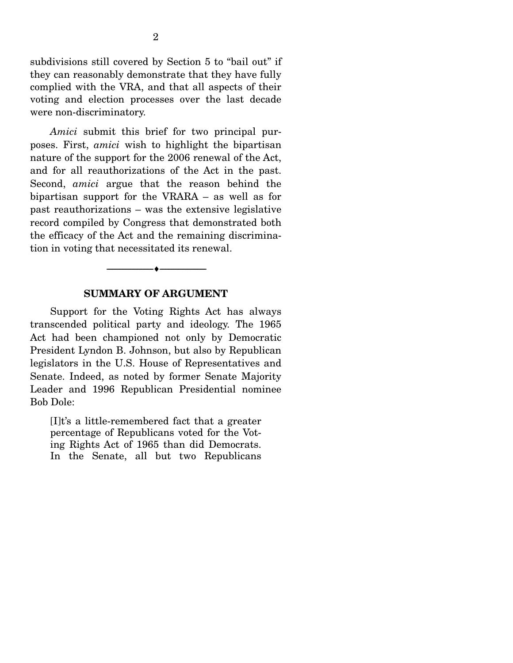subdivisions still covered by Section 5 to "bail out" if they can reasonably demonstrate that they have fully complied with the VRA, and that all aspects of their voting and election processes over the last decade were non-discriminatory.

 *Amici* submit this brief for two principal purposes. First, *amici* wish to highlight the bipartisan nature of the support for the 2006 renewal of the Act, and for all reauthorizations of the Act in the past. Second, *amici* argue that the reason behind the bipartisan support for the VRARA – as well as for past reauthorizations – was the extensive legislative record compiled by Congress that demonstrated both the efficacy of the Act and the remaining discrimination in voting that necessitated its renewal.

#### **SUMMARY OF ARGUMENT**

--------------------------------- ♦ ---------------------------------

 Support for the Voting Rights Act has always transcended political party and ideology. The 1965 Act had been championed not only by Democratic President Lyndon B. Johnson, but also by Republican legislators in the U.S. House of Representatives and Senate. Indeed, as noted by former Senate Majority Leader and 1996 Republican Presidential nominee Bob Dole:

[I]t's a little-remembered fact that a greater percentage of Republicans voted for the Voting Rights Act of 1965 than did Democrats. In the Senate, all but two Republicans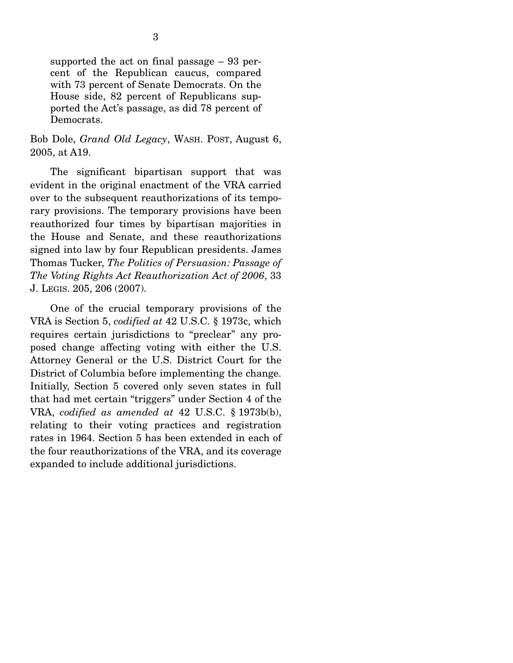supported the act on final passage – 93 percent of the Republican caucus, compared with 73 percent of Senate Democrats. On the House side, 82 percent of Republicans supported the Act's passage, as did 78 percent of Democrats.

Bob Dole, *Grand Old Legacy*, WASH. POST, August 6, 2005, at A19.

 The significant bipartisan support that was evident in the original enactment of the VRA carried over to the subsequent reauthorizations of its temporary provisions. The temporary provisions have been reauthorized four times by bipartisan majorities in the House and Senate, and these reauthorizations signed into law by four Republican presidents. James Thomas Tucker, *The Politics of Persuasion: Passage of The Voting Rights Act Reauthorization Act of 2006*, 33 J. LEGIS. 205, 206 (2007).

 One of the crucial temporary provisions of the VRA is Section 5, *codified at* 42 U.S.C. § 1973c, which requires certain jurisdictions to "preclear" any proposed change affecting voting with either the U.S. Attorney General or the U.S. District Court for the District of Columbia before implementing the change. Initially, Section 5 covered only seven states in full that had met certain "triggers" under Section 4 of the VRA, *codified as amended at* 42 U.S.C. § 1973b(b), relating to their voting practices and registration rates in 1964. Section 5 has been extended in each of the four reauthorizations of the VRA, and its coverage expanded to include additional jurisdictions.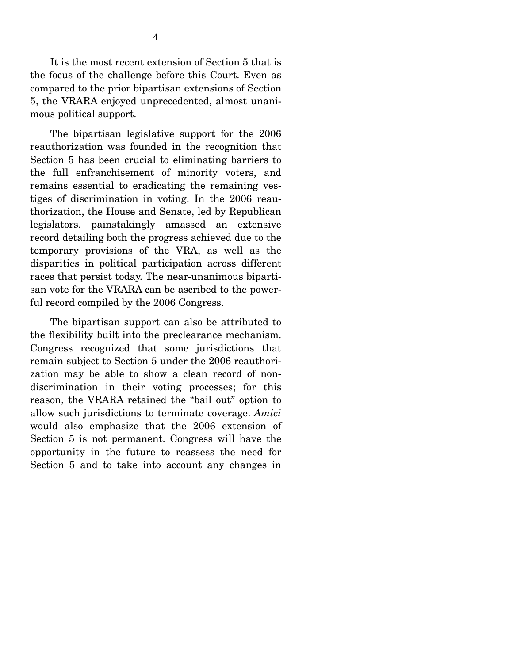It is the most recent extension of Section 5 that is the focus of the challenge before this Court. Even as compared to the prior bipartisan extensions of Section 5, the VRARA enjoyed unprecedented, almost unanimous political support.

 The bipartisan legislative support for the 2006 reauthorization was founded in the recognition that Section 5 has been crucial to eliminating barriers to the full enfranchisement of minority voters, and remains essential to eradicating the remaining vestiges of discrimination in voting. In the 2006 reauthorization, the House and Senate, led by Republican legislators, painstakingly amassed an extensive record detailing both the progress achieved due to the temporary provisions of the VRA, as well as the disparities in political participation across different races that persist today. The near-unanimous bipartisan vote for the VRARA can be ascribed to the powerful record compiled by the 2006 Congress.

 The bipartisan support can also be attributed to the flexibility built into the preclearance mechanism. Congress recognized that some jurisdictions that remain subject to Section 5 under the 2006 reauthorization may be able to show a clean record of nondiscrimination in their voting processes; for this reason, the VRARA retained the "bail out" option to allow such jurisdictions to terminate coverage. *Amici* would also emphasize that the 2006 extension of Section 5 is not permanent. Congress will have the opportunity in the future to reassess the need for Section 5 and to take into account any changes in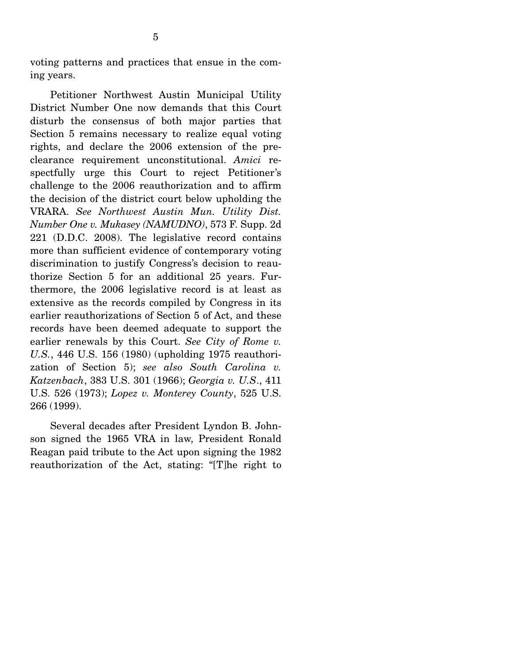voting patterns and practices that ensue in the coming years.

 Petitioner Northwest Austin Municipal Utility District Number One now demands that this Court disturb the consensus of both major parties that Section 5 remains necessary to realize equal voting rights, and declare the 2006 extension of the preclearance requirement unconstitutional. *Amici* respectfully urge this Court to reject Petitioner's challenge to the 2006 reauthorization and to affirm the decision of the district court below upholding the VRARA. *See Northwest Austin Mun. Utility Dist. Number One v. Mukasey (NAMUDNO)*, 573 F. Supp. 2d 221 (D.D.C. 2008). The legislative record contains more than sufficient evidence of contemporary voting discrimination to justify Congress's decision to reauthorize Section 5 for an additional 25 years. Furthermore, the 2006 legislative record is at least as extensive as the records compiled by Congress in its earlier reauthorizations of Section 5 of Act, and these records have been deemed adequate to support the earlier renewals by this Court. *See City of Rome v. U.S.*, 446 U.S. 156 (1980) (upholding 1975 reauthorization of Section 5); *see also South Carolina v. Katzenbach*, 383 U.S. 301 (1966); *Georgia v. U.S*., 411 U.S. 526 (1973); *Lopez v. Monterey County*, 525 U.S. 266 (1999).

 Several decades after President Lyndon B. Johnson signed the 1965 VRA in law, President Ronald Reagan paid tribute to the Act upon signing the 1982 reauthorization of the Act, stating: "[T]he right to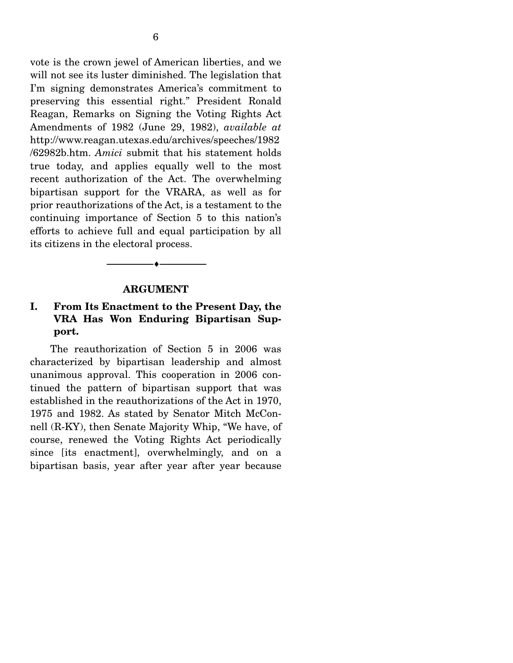vote is the crown jewel of American liberties, and we will not see its luster diminished. The legislation that I'm signing demonstrates America's commitment to preserving this essential right." President Ronald Reagan, Remarks on Signing the Voting Rights Act Amendments of 1982 (June 29, 1982), *available at* http://www.reagan.utexas.edu/archives/speeches/1982 /62982b.htm. *Amici* submit that his statement holds true today, and applies equally well to the most recent authorization of the Act. The overwhelming bipartisan support for the VRARA, as well as for prior reauthorizations of the Act, is a testament to the continuing importance of Section 5 to this nation's efforts to achieve full and equal participation by all its citizens in the electoral process.

#### **ARGUMENT**

--------------------------------- ♦ ---------------------------------

## **I. From Its Enactment to the Present Day, the VRA Has Won Enduring Bipartisan Support.**

 The reauthorization of Section 5 in 2006 was characterized by bipartisan leadership and almost unanimous approval. This cooperation in 2006 continued the pattern of bipartisan support that was established in the reauthorizations of the Act in 1970, 1975 and 1982. As stated by Senator Mitch McConnell (R-KY), then Senate Majority Whip, "We have, of course, renewed the Voting Rights Act periodically since [its enactment], overwhelmingly, and on a bipartisan basis, year after year after year because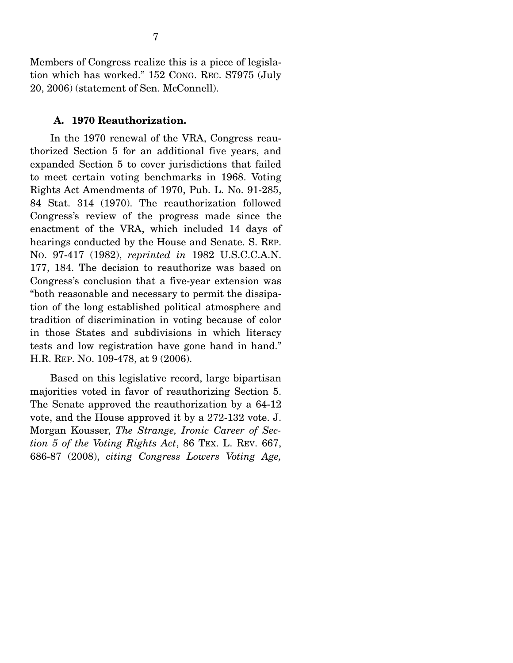Members of Congress realize this is a piece of legislation which has worked." 152 CONG. REC. S7975 (July 20, 2006) (statement of Sen. McConnell).

#### **A. 1970 Reauthorization.**

 In the 1970 renewal of the VRA, Congress reauthorized Section 5 for an additional five years, and expanded Section 5 to cover jurisdictions that failed to meet certain voting benchmarks in 1968. Voting Rights Act Amendments of 1970, Pub. L. No. 91-285, 84 Stat. 314 (1970). The reauthorization followed Congress's review of the progress made since the enactment of the VRA, which included 14 days of hearings conducted by the House and Senate. S. REP. NO. 97-417 (1982), *reprinted in* 1982 U.S.C.C.A.N. 177, 184. The decision to reauthorize was based on Congress's conclusion that a five-year extension was "both reasonable and necessary to permit the dissipation of the long established political atmosphere and tradition of discrimination in voting because of color in those States and subdivisions in which literacy tests and low registration have gone hand in hand." H.R. REP. NO. 109-478, at 9 (2006).

 Based on this legislative record, large bipartisan majorities voted in favor of reauthorizing Section 5. The Senate approved the reauthorization by a 64-12 vote, and the House approved it by a 272-132 vote. J. Morgan Kousser, *The Strange, Ironic Career of Section 5 of the Voting Rights Act*, 86 TEX. L. REV. 667, 686-87 (2008), *citing Congress Lowers Voting Age,*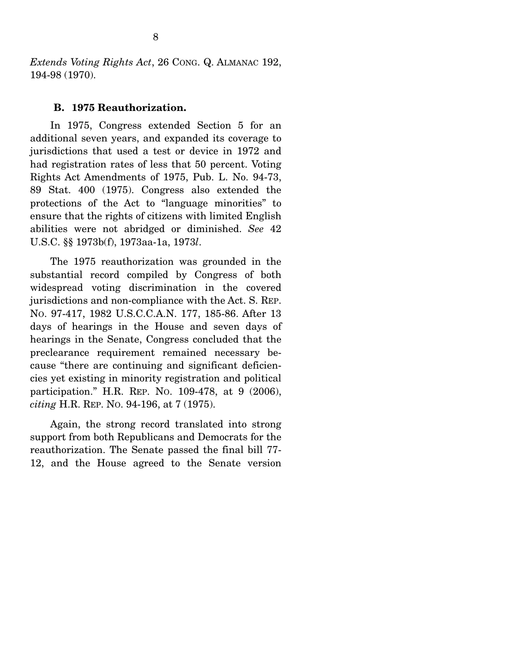*Extends Voting Rights Act*, 26 CONG. Q. ALMANAC 192, 194-98 (1970).

#### **B. 1975 Reauthorization.**

 In 1975, Congress extended Section 5 for an additional seven years, and expanded its coverage to jurisdictions that used a test or device in 1972 and had registration rates of less that 50 percent. Voting Rights Act Amendments of 1975, Pub. L. No. 94-73, 89 Stat. 400 (1975). Congress also extended the protections of the Act to "language minorities" to ensure that the rights of citizens with limited English abilities were not abridged or diminished. *See* 42 U.S.C. §§ 1973b(f), 1973aa-1a, 1973*l*.

 The 1975 reauthorization was grounded in the substantial record compiled by Congress of both widespread voting discrimination in the covered jurisdictions and non-compliance with the Act. S. REP. NO. 97-417, 1982 U.S.C.C.A.N. 177, 185-86. After 13 days of hearings in the House and seven days of hearings in the Senate, Congress concluded that the preclearance requirement remained necessary because "there are continuing and significant deficiencies yet existing in minority registration and political participation." H.R. REP. NO. 109-478, at 9 (2006), *citing* H.R. REP. NO. 94-196, at 7 (1975).

 Again, the strong record translated into strong support from both Republicans and Democrats for the reauthorization. The Senate passed the final bill 77- 12, and the House agreed to the Senate version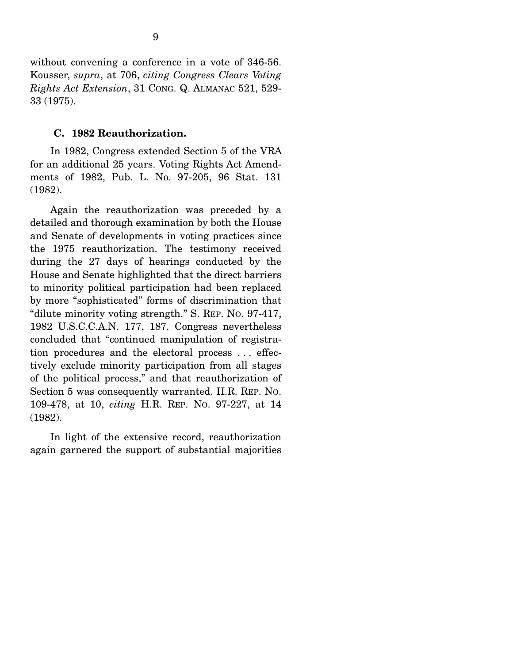without convening a conference in a vote of 346-56. Kousser, *supra*, at 706, *citing Congress Clears Voting Rights Act Extension*, 31 CONG. Q. ALMANAC 521, 529- 33 (1975).

#### **C. 1982 Reauthorization.**

 In 1982, Congress extended Section 5 of the VRA for an additional 25 years. Voting Rights Act Amendments of 1982, Pub. L. No. 97-205, 96 Stat. 131 (1982).

 Again the reauthorization was preceded by a detailed and thorough examination by both the House and Senate of developments in voting practices since the 1975 reauthorization. The testimony received during the 27 days of hearings conducted by the House and Senate highlighted that the direct barriers to minority political participation had been replaced by more "sophisticated" forms of discrimination that "dilute minority voting strength." S. REP. NO. 97-417, 1982 U.S.C.C.A.N. 177, 187. Congress nevertheless concluded that "continued manipulation of registration procedures and the electoral process . . . effectively exclude minority participation from all stages of the political process," and that reauthorization of Section 5 was consequently warranted. H.R. REP. NO. 109-478, at 10, *citing* H.R. REP. NO. 97-227, at 14 (1982).

 In light of the extensive record, reauthorization again garnered the support of substantial majorities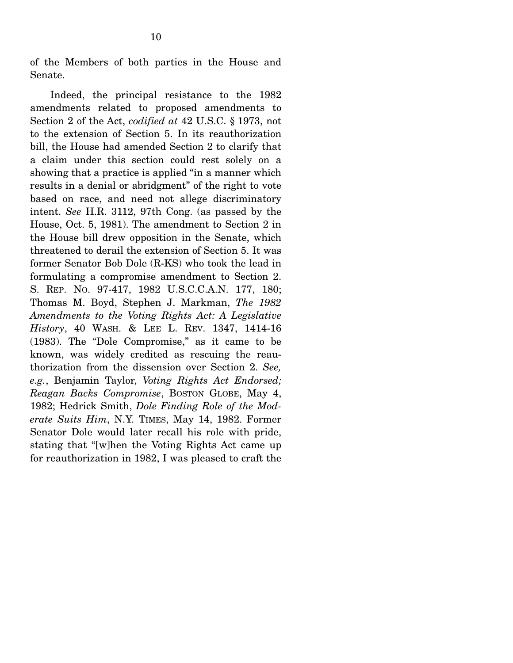of the Members of both parties in the House and Senate.

 Indeed, the principal resistance to the 1982 amendments related to proposed amendments to Section 2 of the Act, *codified at* 42 U.S.C. § 1973, not to the extension of Section 5. In its reauthorization bill, the House had amended Section 2 to clarify that a claim under this section could rest solely on a showing that a practice is applied "in a manner which results in a denial or abridgment" of the right to vote based on race, and need not allege discriminatory intent. *See* H.R. 3112, 97th Cong. (as passed by the House, Oct. 5, 1981). The amendment to Section 2 in the House bill drew opposition in the Senate, which threatened to derail the extension of Section 5. It was former Senator Bob Dole (R-KS) who took the lead in formulating a compromise amendment to Section 2. S. REP. NO. 97-417, 1982 U.S.C.C.A.N. 177, 180; Thomas M. Boyd, Stephen J. Markman, *The 1982 Amendments to the Voting Rights Act: A Legislative History*, 40 WASH. & LEE L. REV. 1347, 1414-16 (1983). The "Dole Compromise," as it came to be known, was widely credited as rescuing the reauthorization from the dissension over Section 2. *See, e.g.*, Benjamin Taylor, *Voting Rights Act Endorsed; Reagan Backs Compromise*, BOSTON GLOBE, May 4, 1982; Hedrick Smith, *Dole Finding Role of the Moderate Suits Him*, N.Y. TIMES, May 14, 1982. Former Senator Dole would later recall his role with pride, stating that "[w]hen the Voting Rights Act came up for reauthorization in 1982, I was pleased to craft the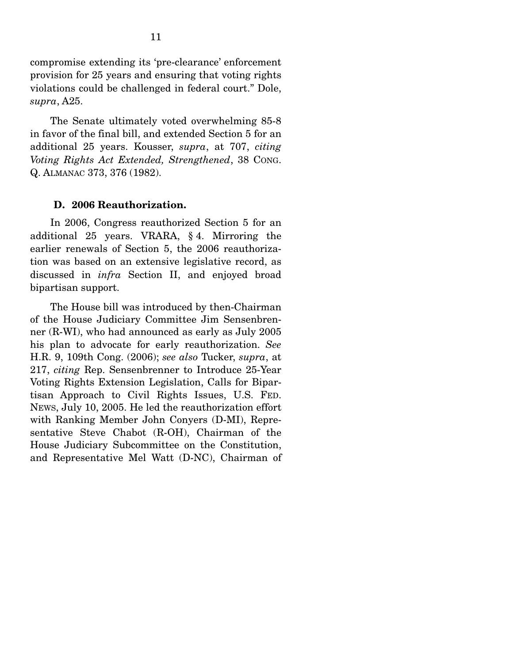compromise extending its 'pre-clearance' enforcement provision for 25 years and ensuring that voting rights violations could be challenged in federal court." Dole, *supra*, A25.

 The Senate ultimately voted overwhelming 85-8 in favor of the final bill, and extended Section 5 for an additional 25 years. Kousser, *supra*, at 707, *citing Voting Rights Act Extended, Strengthened*, 38 CONG. Q. ALMANAC 373, 376 (1982).

#### **D. 2006 Reauthorization.**

 In 2006, Congress reauthorized Section 5 for an additional 25 years. VRARA, § 4. Mirroring the earlier renewals of Section 5, the 2006 reauthorization was based on an extensive legislative record, as discussed in *infra* Section II, and enjoyed broad bipartisan support.

 The House bill was introduced by then-Chairman of the House Judiciary Committee Jim Sensenbrenner (R-WI), who had announced as early as July 2005 his plan to advocate for early reauthorization. *See* H.R. 9, 109th Cong. (2006); *see also* Tucker, *supra*, at 217, *citing* Rep. Sensenbrenner to Introduce 25-Year Voting Rights Extension Legislation, Calls for Bipartisan Approach to Civil Rights Issues, U.S. FED. NEWS, July 10, 2005. He led the reauthorization effort with Ranking Member John Conyers (D-MI), Representative Steve Chabot (R-OH), Chairman of the House Judiciary Subcommittee on the Constitution, and Representative Mel Watt (D-NC), Chairman of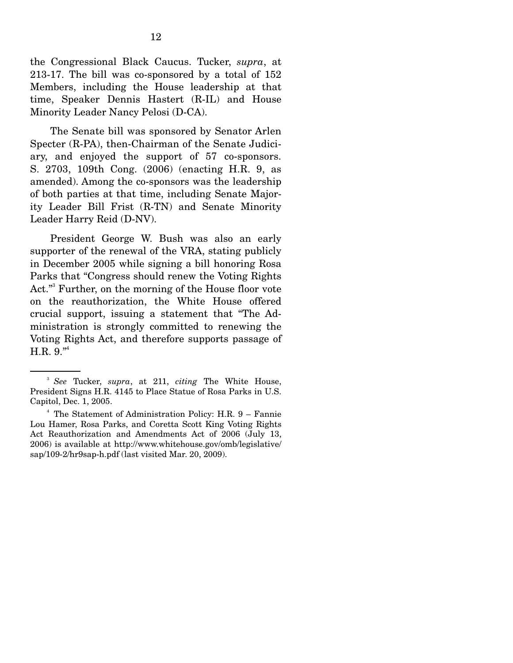the Congressional Black Caucus. Tucker, *supra*, at 213-17. The bill was co-sponsored by a total of 152 Members, including the House leadership at that time, Speaker Dennis Hastert (R-IL) and House Minority Leader Nancy Pelosi (D-CA).

 The Senate bill was sponsored by Senator Arlen Specter (R-PA), then-Chairman of the Senate Judiciary, and enjoyed the support of 57 co-sponsors. S. 2703, 109th Cong. (2006) (enacting H.R. 9, as amended). Among the co-sponsors was the leadership of both parties at that time, including Senate Majority Leader Bill Frist (R-TN) and Senate Minority Leader Harry Reid (D-NV).

 President George W. Bush was also an early supporter of the renewal of the VRA, stating publicly in December 2005 while signing a bill honoring Rosa Parks that "Congress should renew the Voting Rights Act."<sup>3</sup> Further, on the morning of the House floor vote on the reauthorization, the White House offered crucial support, issuing a statement that "The Administration is strongly committed to renewing the Voting Rights Act, and therefore supports passage of H.R. 9."4

<sup>3</sup> *See* Tucker, *supra*, at 211, *citing* The White House, President Signs H.R. 4145 to Place Statue of Rosa Parks in U.S. Capitol, Dec. 1, 2005.

<sup>4</sup> The Statement of Administration Policy: H.R. 9 – Fannie Lou Hamer, Rosa Parks, and Coretta Scott King Voting Rights Act Reauthorization and Amendments Act of 2006 (July 13, 2006) is available at http://www.whitehouse.gov/omb/legislative/ sap/109-2/hr9sap-h.pdf (last visited Mar. 20, 2009).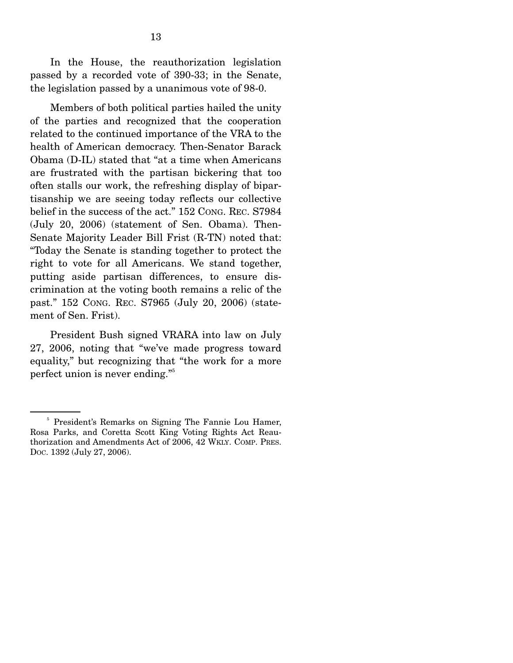In the House, the reauthorization legislation passed by a recorded vote of 390-33; in the Senate, the legislation passed by a unanimous vote of 98-0.

 Members of both political parties hailed the unity of the parties and recognized that the cooperation related to the continued importance of the VRA to the health of American democracy. Then-Senator Barack Obama (D-IL) stated that "at a time when Americans are frustrated with the partisan bickering that too often stalls our work, the refreshing display of bipartisanship we are seeing today reflects our collective belief in the success of the act." 152 CONG. REC. S7984 (July 20, 2006) (statement of Sen. Obama). Then-Senate Majority Leader Bill Frist (R-TN) noted that: "Today the Senate is standing together to protect the right to vote for all Americans. We stand together, putting aside partisan differences, to ensure discrimination at the voting booth remains a relic of the past." 152 CONG. REC. S7965 (July 20, 2006) (statement of Sen. Frist).

 President Bush signed VRARA into law on July 27, 2006, noting that "we've made progress toward equality," but recognizing that "the work for a more perfect union is never ending."<sup>5</sup>

<sup>&</sup>lt;sup>5</sup> President's Remarks on Signing The Fannie Lou Hamer, Rosa Parks, and Coretta Scott King Voting Rights Act Reauthorization and Amendments Act of 2006, 42 WKLY. COMP. PRES. DOC. 1392 (July 27, 2006).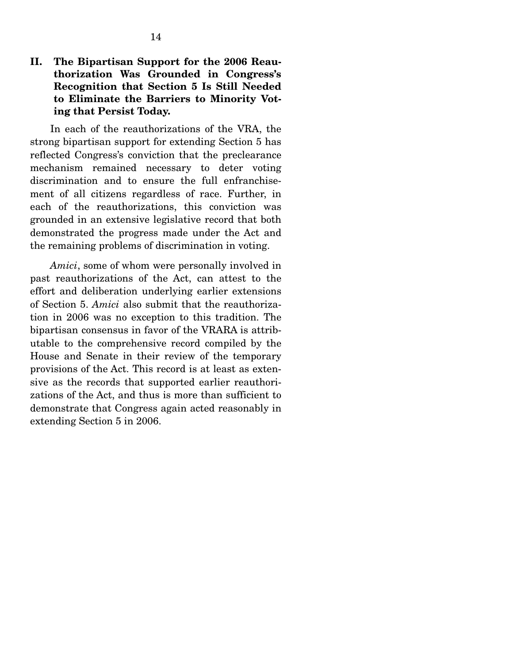## **II. The Bipartisan Support for the 2006 Reauthorization Was Grounded in Congress's Recognition that Section 5 Is Still Needed to Eliminate the Barriers to Minority Voting that Persist Today.**

 In each of the reauthorizations of the VRA, the strong bipartisan support for extending Section 5 has reflected Congress's conviction that the preclearance mechanism remained necessary to deter voting discrimination and to ensure the full enfranchisement of all citizens regardless of race. Further, in each of the reauthorizations, this conviction was grounded in an extensive legislative record that both demonstrated the progress made under the Act and the remaining problems of discrimination in voting.

 *Amici*, some of whom were personally involved in past reauthorizations of the Act, can attest to the effort and deliberation underlying earlier extensions of Section 5. *Amici* also submit that the reauthorization in 2006 was no exception to this tradition. The bipartisan consensus in favor of the VRARA is attributable to the comprehensive record compiled by the House and Senate in their review of the temporary provisions of the Act. This record is at least as extensive as the records that supported earlier reauthorizations of the Act, and thus is more than sufficient to demonstrate that Congress again acted reasonably in extending Section 5 in 2006.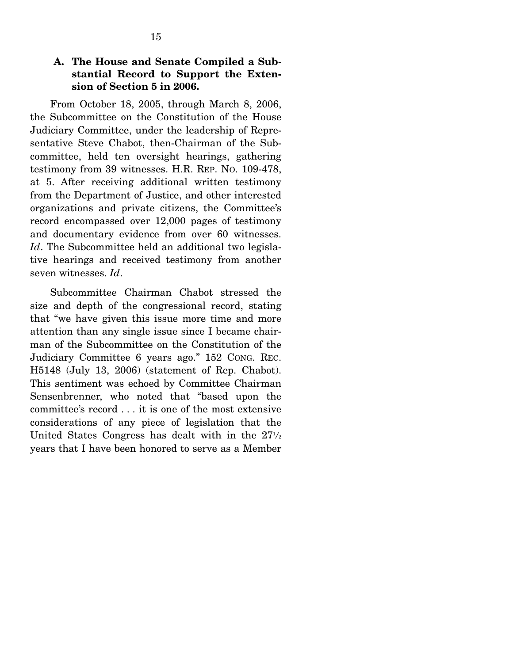## **A. The House and Senate Compiled a Substantial Record to Support the Extension of Section 5 in 2006.**

 From October 18, 2005, through March 8, 2006, the Subcommittee on the Constitution of the House Judiciary Committee, under the leadership of Representative Steve Chabot, then-Chairman of the Subcommittee, held ten oversight hearings, gathering testimony from 39 witnesses. H.R. REP. NO. 109-478, at 5. After receiving additional written testimony from the Department of Justice, and other interested organizations and private citizens, the Committee's record encompassed over 12,000 pages of testimony and documentary evidence from over 60 witnesses. *Id*. The Subcommittee held an additional two legislative hearings and received testimony from another seven witnesses. *Id*.

 Subcommittee Chairman Chabot stressed the size and depth of the congressional record, stating that "we have given this issue more time and more attention than any single issue since I became chairman of the Subcommittee on the Constitution of the Judiciary Committee 6 years ago." 152 CONG. REC. H5148 (July 13, 2006) (statement of Rep. Chabot). This sentiment was echoed by Committee Chairman Sensenbrenner, who noted that "based upon the committee's record . . . it is one of the most extensive considerations of any piece of legislation that the United States Congress has dealt with in the  $27\frac{1}{2}$ years that I have been honored to serve as a Member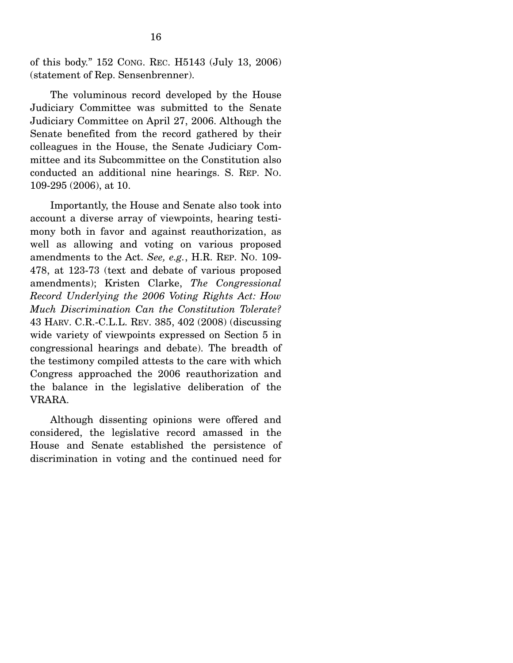of this body." 152 CONG. REC. H5143 (July 13, 2006) (statement of Rep. Sensenbrenner).

 The voluminous record developed by the House Judiciary Committee was submitted to the Senate Judiciary Committee on April 27, 2006. Although the Senate benefited from the record gathered by their colleagues in the House, the Senate Judiciary Committee and its Subcommittee on the Constitution also conducted an additional nine hearings. S. REP. NO. 109-295 (2006), at 10.

 Importantly, the House and Senate also took into account a diverse array of viewpoints, hearing testimony both in favor and against reauthorization, as well as allowing and voting on various proposed amendments to the Act. *See, e.g.*, H.R. REP. NO. 109- 478, at 123-73 (text and debate of various proposed amendments); Kristen Clarke, *The Congressional Record Underlying the 2006 Voting Rights Act: How Much Discrimination Can the Constitution Tolerate?* 43 HARV. C.R.-C.L.L. REV. 385, 402 (2008) (discussing wide variety of viewpoints expressed on Section 5 in congressional hearings and debate). The breadth of the testimony compiled attests to the care with which Congress approached the 2006 reauthorization and the balance in the legislative deliberation of the VRARA.

 Although dissenting opinions were offered and considered, the legislative record amassed in the House and Senate established the persistence of discrimination in voting and the continued need for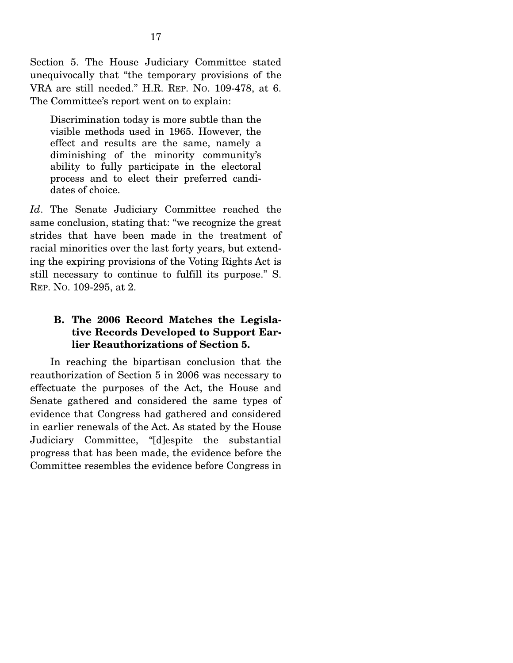Section 5. The House Judiciary Committee stated unequivocally that "the temporary provisions of the VRA are still needed." H.R. REP. NO. 109-478, at 6. The Committee's report went on to explain:

Discrimination today is more subtle than the visible methods used in 1965. However, the effect and results are the same, namely a diminishing of the minority community's ability to fully participate in the electoral process and to elect their preferred candidates of choice.

*Id*. The Senate Judiciary Committee reached the same conclusion, stating that: "we recognize the great strides that have been made in the treatment of racial minorities over the last forty years, but extending the expiring provisions of the Voting Rights Act is still necessary to continue to fulfill its purpose." S. REP. NO. 109-295, at 2.

## **B. The 2006 Record Matches the Legislative Records Developed to Support Earlier Reauthorizations of Section 5.**

 In reaching the bipartisan conclusion that the reauthorization of Section 5 in 2006 was necessary to effectuate the purposes of the Act, the House and Senate gathered and considered the same types of evidence that Congress had gathered and considered in earlier renewals of the Act. As stated by the House Judiciary Committee, "[d]espite the substantial progress that has been made, the evidence before the Committee resembles the evidence before Congress in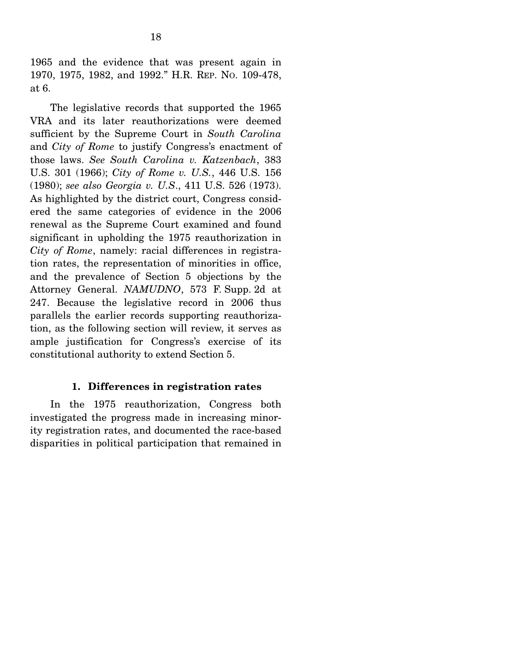1965 and the evidence that was present again in 1970, 1975, 1982, and 1992." H.R. REP. NO. 109-478, at 6.

 The legislative records that supported the 1965 VRA and its later reauthorizations were deemed sufficient by the Supreme Court in *South Carolina* and *City of Rome* to justify Congress's enactment of those laws. *See South Carolina v. Katzenbach*, 383 U.S. 301 (1966); *City of Rome v. U.S.*, 446 U.S. 156 (1980); *see also Georgia v. U.S*., 411 U.S. 526 (1973). As highlighted by the district court, Congress considered the same categories of evidence in the 2006 renewal as the Supreme Court examined and found significant in upholding the 1975 reauthorization in *City of Rome*, namely: racial differences in registration rates, the representation of minorities in office, and the prevalence of Section 5 objections by the Attorney General. *NAMUDNO*, 573 F. Supp. 2d at 247. Because the legislative record in 2006 thus parallels the earlier records supporting reauthorization, as the following section will review, it serves as ample justification for Congress's exercise of its constitutional authority to extend Section 5.

### **1. Differences in registration rates**

 In the 1975 reauthorization, Congress both investigated the progress made in increasing minority registration rates, and documented the race-based disparities in political participation that remained in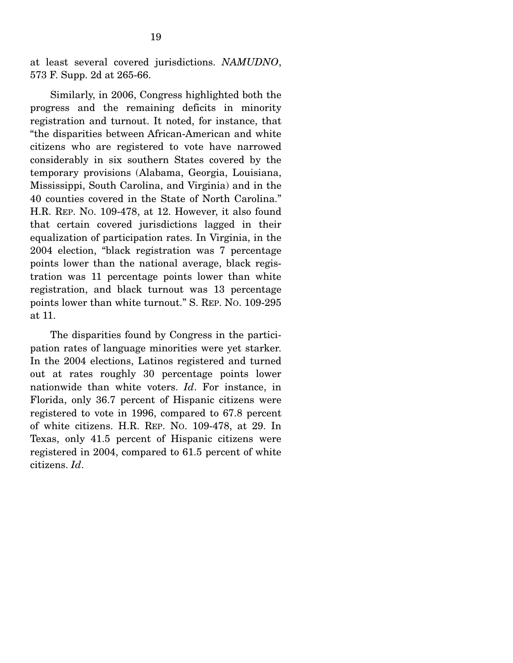at least several covered jurisdictions. *NAMUDNO*, 573 F. Supp. 2d at 265-66.

 Similarly, in 2006, Congress highlighted both the progress and the remaining deficits in minority registration and turnout. It noted, for instance, that "the disparities between African-American and white citizens who are registered to vote have narrowed considerably in six southern States covered by the temporary provisions (Alabama, Georgia, Louisiana, Mississippi, South Carolina, and Virginia) and in the 40 counties covered in the State of North Carolina." H.R. REP. NO. 109-478, at 12. However, it also found that certain covered jurisdictions lagged in their equalization of participation rates. In Virginia, in the 2004 election, "black registration was 7 percentage points lower than the national average, black registration was 11 percentage points lower than white registration, and black turnout was 13 percentage points lower than white turnout." S. REP. NO. 109-295 at 11.

 The disparities found by Congress in the participation rates of language minorities were yet starker. In the 2004 elections, Latinos registered and turned out at rates roughly 30 percentage points lower nationwide than white voters. *Id*. For instance, in Florida, only 36.7 percent of Hispanic citizens were registered to vote in 1996, compared to 67.8 percent of white citizens. H.R. REP. NO. 109-478, at 29. In Texas, only 41.5 percent of Hispanic citizens were registered in 2004, compared to 61.5 percent of white citizens. *Id*.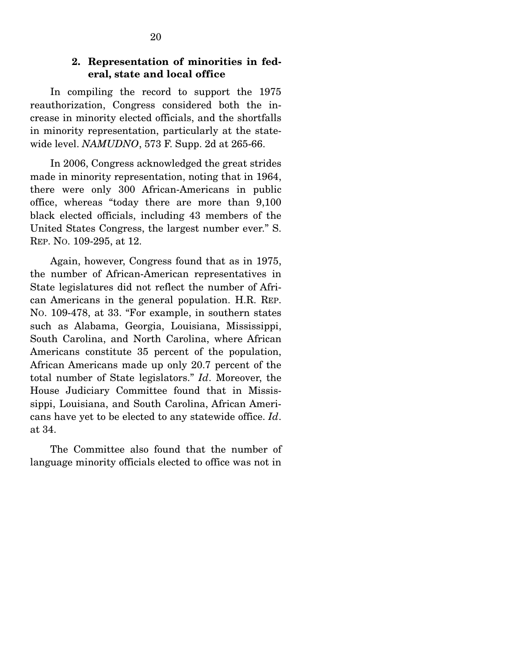### **2. Representation of minorities in federal, state and local office**

 In compiling the record to support the 1975 reauthorization, Congress considered both the increase in minority elected officials, and the shortfalls in minority representation, particularly at the statewide level. *NAMUDNO*, 573 F. Supp. 2d at 265-66.

 In 2006, Congress acknowledged the great strides made in minority representation, noting that in 1964, there were only 300 African-Americans in public office, whereas "today there are more than 9,100 black elected officials, including 43 members of the United States Congress, the largest number ever." S. REP. NO. 109-295, at 12.

 Again, however, Congress found that as in 1975, the number of African-American representatives in State legislatures did not reflect the number of African Americans in the general population. H.R. REP. NO. 109-478, at 33. "For example, in southern states such as Alabama, Georgia, Louisiana, Mississippi, South Carolina, and North Carolina, where African Americans constitute 35 percent of the population, African Americans made up only 20.7 percent of the total number of State legislators." *Id*. Moreover, the House Judiciary Committee found that in Mississippi, Louisiana, and South Carolina, African Americans have yet to be elected to any statewide office. *Id*. at 34.

 The Committee also found that the number of language minority officials elected to office was not in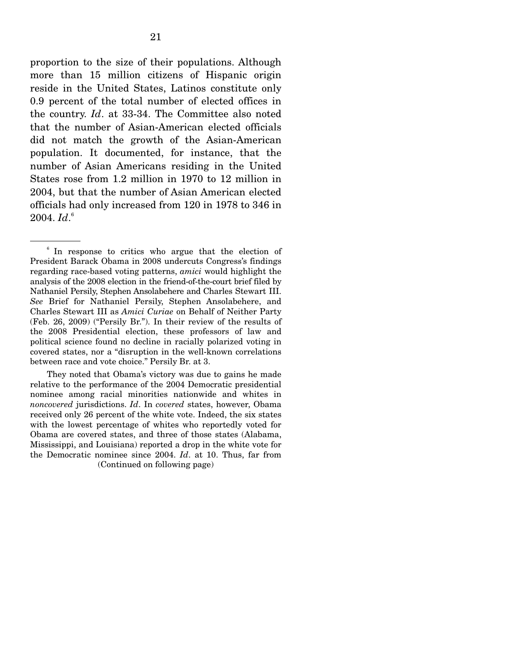proportion to the size of their populations. Although more than 15 million citizens of Hispanic origin reside in the United States, Latinos constitute only 0.9 percent of the total number of elected offices in the country. *Id*. at 33-34. The Committee also noted that the number of Asian-American elected officials did not match the growth of the Asian-American population. It documented, for instance, that the number of Asian Americans residing in the United States rose from 1.2 million in 1970 to 12 million in 2004, but that the number of Asian American elected officials had only increased from 120 in 1978 to 346 in 2004. *Id*. 6

 They noted that Obama's victory was due to gains he made relative to the performance of the 2004 Democratic presidential nominee among racial minorities nationwide and whites in *noncovered* jurisdictions. *Id*. In *covered* states, however, Obama received only 26 percent of the white vote. Indeed, the six states with the lowest percentage of whites who reportedly voted for Obama are covered states, and three of those states (Alabama, Mississippi, and Louisiana) reported a drop in the white vote for the Democratic nominee since 2004. *Id*. at 10. Thus, far from

(Continued on following page)

<sup>&</sup>lt;sup>6</sup> In response to critics who argue that the election of President Barack Obama in 2008 undercuts Congress's findings regarding race-based voting patterns, *amici* would highlight the analysis of the 2008 election in the friend-of-the-court brief filed by Nathaniel Persily, Stephen Ansolabehere and Charles Stewart III. *See* Brief for Nathaniel Persily, Stephen Ansolabehere, and Charles Stewart III as *Amici Curiae* on Behalf of Neither Party (Feb. 26, 2009) ("Persily Br."). In their review of the results of the 2008 Presidential election, these professors of law and political science found no decline in racially polarized voting in covered states, nor a "disruption in the well-known correlations between race and vote choice." Persily Br. at 3.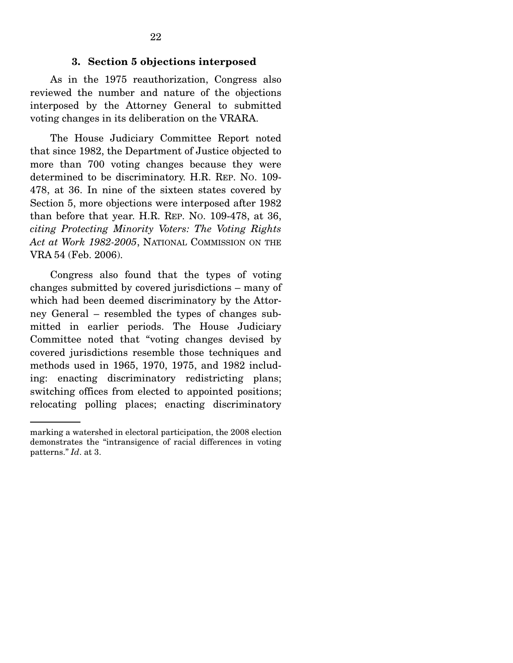#### **3. Section 5 objections interposed**

 As in the 1975 reauthorization, Congress also reviewed the number and nature of the objections interposed by the Attorney General to submitted voting changes in its deliberation on the VRARA.

 The House Judiciary Committee Report noted that since 1982, the Department of Justice objected to more than 700 voting changes because they were determined to be discriminatory. H.R. REP. NO. 109- 478, at 36. In nine of the sixteen states covered by Section 5, more objections were interposed after 1982 than before that year. H.R. REP. NO. 109-478, at 36, *citing Protecting Minority Voters: The Voting Rights Act at Work 1982-2005*, NATIONAL COMMISSION ON THE VRA 54 (Feb. 2006).

 Congress also found that the types of voting changes submitted by covered jurisdictions – many of which had been deemed discriminatory by the Attorney General – resembled the types of changes submitted in earlier periods. The House Judiciary Committee noted that "voting changes devised by covered jurisdictions resemble those techniques and methods used in 1965, 1970, 1975, and 1982 including: enacting discriminatory redistricting plans; switching offices from elected to appointed positions; relocating polling places; enacting discriminatory

marking a watershed in electoral participation, the 2008 election demonstrates the "intransigence of racial differences in voting patterns." *Id*. at 3.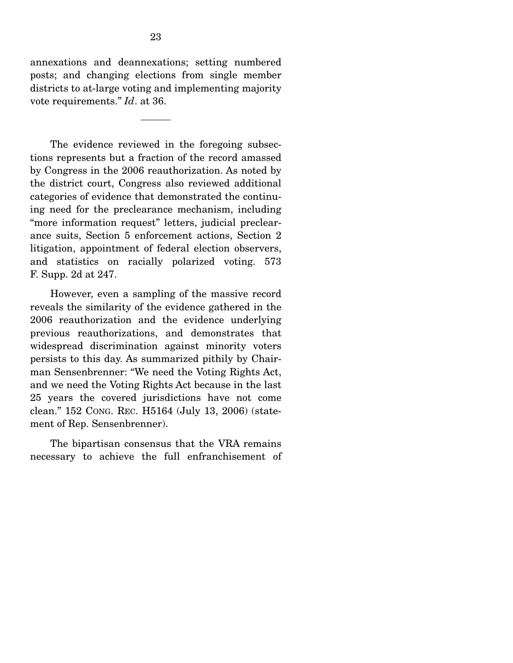annexations and deannexations; setting numbered posts; and changing elections from single member districts to at-large voting and implementing majority vote requirements." *Id*. at 36.

 The evidence reviewed in the foregoing subsections represents but a fraction of the record amassed by Congress in the 2006 reauthorization. As noted by the district court, Congress also reviewed additional categories of evidence that demonstrated the continuing need for the preclearance mechanism, including "more information request" letters, judicial preclearance suits, Section 5 enforcement actions, Section 2 litigation, appointment of federal election observers, and statistics on racially polarized voting. 573 F. Supp. 2d at 247.

 However, even a sampling of the massive record reveals the similarity of the evidence gathered in the 2006 reauthorization and the evidence underlying previous reauthorizations, and demonstrates that widespread discrimination against minority voters persists to this day. As summarized pithily by Chairman Sensenbrenner: "We need the Voting Rights Act, and we need the Voting Rights Act because in the last 25 years the covered jurisdictions have not come clean." 152 CONG. REC. H5164 (July 13, 2006) (statement of Rep. Sensenbrenner).

 The bipartisan consensus that the VRA remains necessary to achieve the full enfranchisement of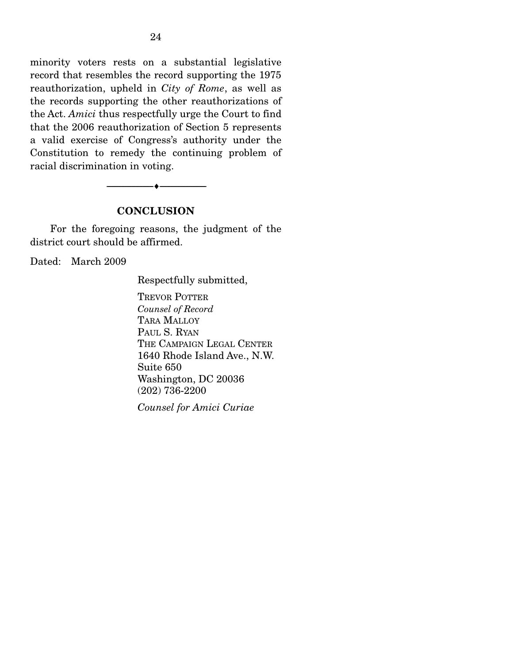minority voters rests on a substantial legislative record that resembles the record supporting the 1975 reauthorization, upheld in *City of Rome*, as well as the records supporting the other reauthorizations of the Act. *Amici* thus respectfully urge the Court to find that the 2006 reauthorization of Section 5 represents a valid exercise of Congress's authority under the Constitution to remedy the continuing problem of racial discrimination in voting.

#### **CONCLUSION**

--------------------------------- ♦ ---------------------------------

 For the foregoing reasons, the judgment of the district court should be affirmed.

Dated: March 2009

Respectfully submitted,

TREVOR POTTER *Counsel of Record*  TARA MALLOY PAUL S. RYAN THE CAMPAIGN LEGAL CENTER 1640 Rhode Island Ave., N.W. Suite 650 Washington, DC 20036 (202) 736-2200

*Counsel for Amici Curiae*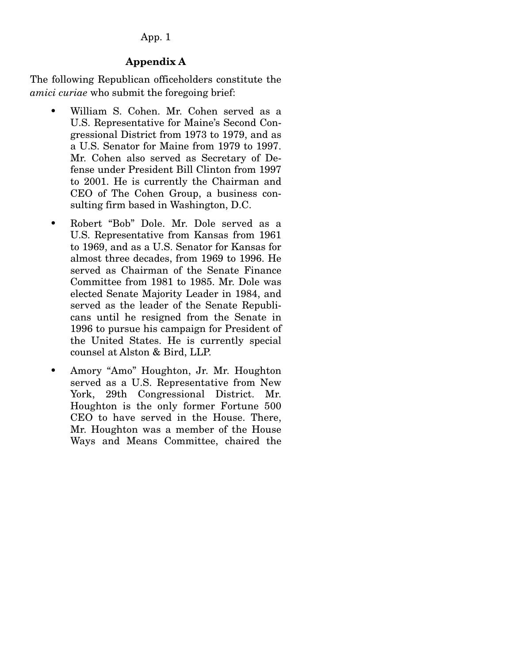### App. 1

## **Appendix A**

The following Republican officeholders constitute the *amici curiae* who submit the foregoing brief:

- William S. Cohen. Mr. Cohen served as a U.S. Representative for Maine's Second Congressional District from 1973 to 1979, and as a U.S. Senator for Maine from 1979 to 1997. Mr. Cohen also served as Secretary of Defense under President Bill Clinton from 1997 to 2001. He is currently the Chairman and CEO of The Cohen Group, a business consulting firm based in Washington, D.C.
- Robert "Bob" Dole. Mr. Dole served as a U.S. Representative from Kansas from 1961 to 1969, and as a U.S. Senator for Kansas for almost three decades, from 1969 to 1996. He served as Chairman of the Senate Finance Committee from 1981 to 1985. Mr. Dole was elected Senate Majority Leader in 1984, and served as the leader of the Senate Republicans until he resigned from the Senate in 1996 to pursue his campaign for President of the United States. He is currently special counsel at Alston & Bird, LLP.
- Amory "Amo" Houghton, Jr. Mr. Houghton served as a U.S. Representative from New York, 29th Congressional District. Mr. Houghton is the only former Fortune 500 CEO to have served in the House. There, Mr. Houghton was a member of the House Ways and Means Committee, chaired the